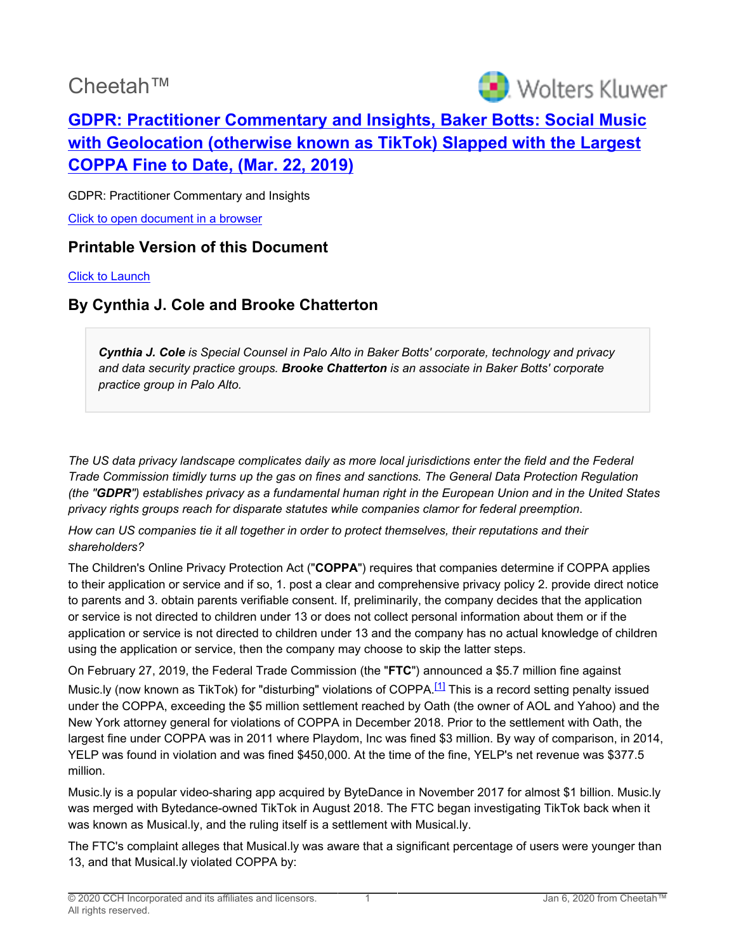# Cheetah™



## **[GDPR: Practitioner Commentary and Insights, Baker Botts: Social Music](http://prod.resource.cch.com/resource/scion/document/default/%28%40%40GEX01+P20190322%29645affda7d43100083b7005056883b3a01?cfu=Legal&cpid=WKUS-Legal-Cheetah&uAppCtx=cheetah) [with Geolocation \(otherwise known as TikTok\) Slapped with the Largest](http://prod.resource.cch.com/resource/scion/document/default/%28%40%40GEX01+P20190322%29645affda7d43100083b7005056883b3a01?cfu=Legal&cpid=WKUS-Legal-Cheetah&uAppCtx=cheetah) [COPPA Fine to Date, \(Mar. 22, 2019\)](http://prod.resource.cch.com/resource/scion/document/default/%28%40%40GEX01+P20190322%29645affda7d43100083b7005056883b3a01?cfu=Legal&cpid=WKUS-Legal-Cheetah&uAppCtx=cheetah)**

GDPR: Practitioner Commentary and Insights [Click to open document in a browser](https://prod.resource.cch.com/resource/scion/document/default/%28%40%40GEX01+P20190322%29645affda7d43100083b7005056883b3a01?cfu=Legal&cpid=WKUS-Legal-Cheetah&uAppCtx=cheetah)

#### **Printable Version of this Document**

[Click to Launch](https://intelliconnect.cch.com:443/docmedia/attach/WKUS-TAL-DOCS-PHC/28/SP_BakerBotts-TikTok_03-25-2019_final.pdf)

### **By Cynthia J. Cole and Brooke Chatterton**

*Cynthia J. Cole is Special Counsel in Palo Alto in Baker Botts' corporate, technology and privacy and data security practice groups. Brooke Chatterton is an associate in Baker Botts' corporate practice group in Palo Alto.*

*The US data privacy landscape complicates daily as more local jurisdictions enter the field and the Federal Trade Commission timidly turns up the gas on fines and sanctions. The General Data Protection Regulation (the "GDPR") establishes privacy as a fundamental human right in the European Union and in the United States privacy rights groups reach for disparate statutes while companies clamor for federal preemption*.

*How can US companies tie it all together in order to protect themselves, their reputations and their shareholders?*

The Children's Online Privacy Protection Act ("**COPPA**") requires that companies determine if COPPA applies to their application or service and if so, 1. post a clear and comprehensive privacy policy 2. provide direct notice to parents and 3. obtain parents verifiable consent. If, preliminarily, the company decides that the application or service is not directed to children under 13 or does not collect personal information about them or if the application or service is not directed to children under 13 and the company has no actual knowledge of children using the application or service, then the company may choose to skip the latter steps.

<span id="page-0-0"></span>On February 27, 2019, the Federal Trade Commission (the "**FTC**") announced a \$5.7 million fine against Music.ly (now known as TikTok) for "disturbing" violations of COPPA.<sup>[\[1\]](#page-2-0)</sup> This is a record setting penalty issued under the COPPA, exceeding the \$5 million settlement reached by Oath (the owner of AOL and Yahoo) and the New York attorney general for violations of COPPA in December 2018. Prior to the settlement with Oath, the largest fine under COPPA was in 2011 where Playdom, Inc was fined \$3 million. By way of comparison, in 2014, YELP was found in violation and was fined \$450,000. At the time of the fine, YELP's net revenue was \$377.5 million.

Music.ly is a popular video-sharing app acquired by ByteDance in November 2017 for almost \$1 billion. Music.ly was merged with Bytedance-owned TikTok in August 2018. The FTC began investigating TikTok back when it was known as Musical.ly, and the ruling itself is a settlement with Musical.ly.

The FTC's complaint alleges that Musical.ly was aware that a significant percentage of users were younger than 13, and that Musical.ly violated COPPA by: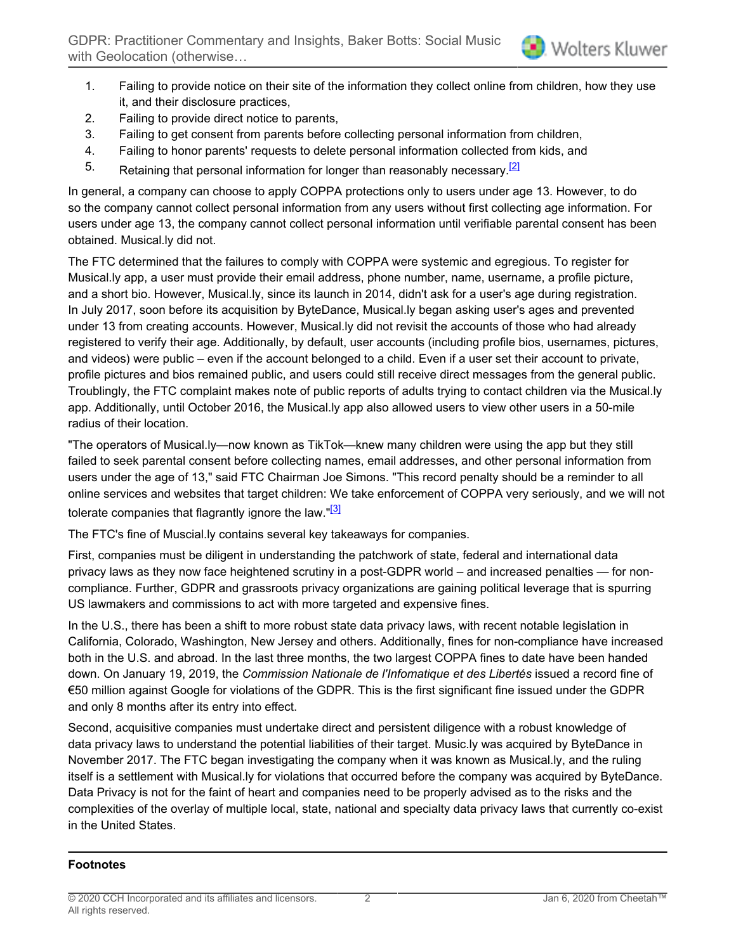- 1. Failing to provide notice on their site of the information they collect online from children, how they use it, and their disclosure practices,
- 2. Failing to provide direct notice to parents,
- 3. Failing to get consent from parents before collecting personal information from children,
- 4. Failing to honor parents' requests to delete personal information collected from kids, and
- <span id="page-1-0"></span>5. Retaining that personal information for longer than reasonably necessary.<sup>[\[2\]](#page-2-1)</sup>

In general, a company can choose to apply COPPA protections only to users under age 13. However, to do so the company cannot collect personal information from any users without first collecting age information. For users under age 13, the company cannot collect personal information until verifiable parental consent has been obtained. Musical.ly did not.

The FTC determined that the failures to comply with COPPA were systemic and egregious. To register for Musical.ly app, a user must provide their email address, phone number, name, username, a profile picture, and a short bio. However, Musical.ly, since its launch in 2014, didn't ask for a user's age during registration. In July 2017, soon before its acquisition by ByteDance, Musical.ly began asking user's ages and prevented under 13 from creating accounts. However, Musical.ly did not revisit the accounts of those who had already registered to verify their age. Additionally, by default, user accounts (including profile bios, usernames, pictures, and videos) were public – even if the account belonged to a child. Even if a user set their account to private, profile pictures and bios remained public, and users could still receive direct messages from the general public. Troublingly, the FTC complaint makes note of public reports of adults trying to contact children via the Musical.ly app. Additionally, until October 2016, the Musical.ly app also allowed users to view other users in a 50-mile radius of their location.

"The operators of Musical.ly—now known as TikTok—knew many children were using the app but they still failed to seek parental consent before collecting names, email addresses, and other personal information from users under the age of 13," said FTC Chairman Joe Simons. "This record penalty should be a reminder to all online services and websites that target children: We take enforcement of COPPA very seriously, and we will not tolerate companies that flagrantly ignore the law. $\frac{13}{2}$ 

<span id="page-1-1"></span>The FTC's fine of Muscial.ly contains several key takeaways for companies.

First, companies must be diligent in understanding the patchwork of state, federal and international data privacy laws as they now face heightened scrutiny in a post-GDPR world – and increased penalties — for noncompliance. Further, GDPR and grassroots privacy organizations are gaining political leverage that is spurring US lawmakers and commissions to act with more targeted and expensive fines.

In the U.S., there has been a shift to more robust state data privacy laws, with recent notable legislation in California, Colorado, Washington, New Jersey and others. Additionally, fines for non-compliance have increased both in the U.S. and abroad. In the last three months, the two largest COPPA fines to date have been handed down. On January 19, 2019, the *Commission Nationale de l'Infomatique et des Libertés* issued a record fine of €50 million against Google for violations of the GDPR. This is the first significant fine issued under the GDPR and only 8 months after its entry into effect.

Second, acquisitive companies must undertake direct and persistent diligence with a robust knowledge of data privacy laws to understand the potential liabilities of their target. Music.ly was acquired by ByteDance in November 2017. The FTC began investigating the company when it was known as Musical.ly, and the ruling itself is a settlement with Musical.ly for violations that occurred before the company was acquired by ByteDance. Data Privacy is not for the faint of heart and companies need to be properly advised as to the risks and the complexities of the overlay of multiple local, state, national and specialty data privacy laws that currently co-exist in the United States.

#### **Footnotes**